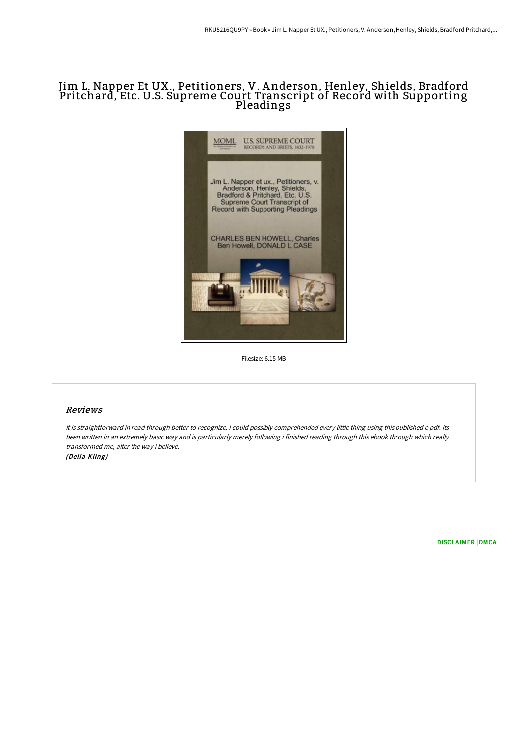# Jim L. Napper Et UX., Petitioners, V. A nderson, Henley, Shields, Bradford Pritchard, Etc. U.S. Supreme Court Transcript of Record with Supporting Pleadings



Filesize: 6.15 MB

### Reviews

It is straightforward in read through better to recognize. <sup>I</sup> could possibly comprehended every little thing using this published <sup>e</sup> pdf. Its been written in an extremely basic way and is particularly merely following i finished reading through this ebook through which really transformed me, alter the way i believe. (Delia Kling)

[DISCLAIMER](http://albedo.media/disclaimer.html) | [DMCA](http://albedo.media/dmca.html)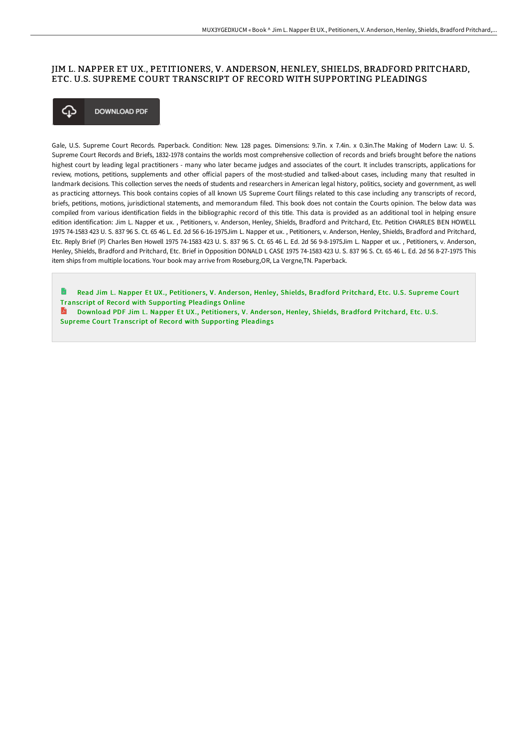## JIM L. NAPPER ET UX., PETITIONERS, V. ANDERSON, HENLEY, SHIELDS, BRADFORD PRITCHARD, ETC. U.S. SUPREME COURT TRANSCRIPT OF RECORD WITH SUPPORTING PLEADINGS



Gale, U.S. Supreme Court Records. Paperback. Condition: New. 128 pages. Dimensions: 9.7in. x 7.4in. x 0.3in.The Making of Modern Law: U. S. Supreme Court Records and Briefs, 1832-1978 contains the worlds most comprehensive collection of records and briefs brought before the nations highest court by leading legal practitioners - many who later became judges and associates of the court. It includes transcripts, applications for review, motions, petitions, supplements and other oFicial papers of the most-studied and talked-about cases, including many that resulted in landmark decisions. This collection serves the needs of students and researchers in American legal history, politics, society and government, as well as practicing attorneys. This book contains copies of all known US Supreme Court filings related to this case including any transcripts of record, briefs, petitions, motions, jurisdictional statements, and memorandum filed. This book does not contain the Courts opinion. The below data was compiled from various identification fields in the bibliographic record of this title. This data is provided as an additional tool in helping ensure edition identification: Jim L. Napper et ux. , Petitioners, v. Anderson, Henley, Shields, Bradford and Pritchard, Etc. Petition CHARLES BEN HOWELL 1975 74-1583 423 U. S. 837 96 S. Ct. 65 46 L. Ed. 2d 56 6-16-1975Jim L. Napper et ux. , Petitioners, v. Anderson, Henley, Shields, Bradford and Pritchard, Etc. Reply Brief (P) Charles Ben Howell 1975 74-1583 423 U. S. 837 96 S. Ct. 65 46 L. Ed. 2d 56 9-8-1975Jim L. Napper et ux. , Petitioners, v. Anderson, Henley, Shields, Bradford and Pritchard, Etc. Brief in Opposition DONALD L CASE 1975 74-1583 423 U. S. 837 96 S. Ct. 65 46 L. Ed. 2d 56 8-27-1975 This item ships from multiple locations. Your book may arrive from Roseburg,OR, La Vergne,TN. Paperback.

Read Jim L. Napper Et UX., Petitioners, V. Anderson, Henley, Shields, Bradford Pritchard, Etc. U.S. Supreme Court Transcript of Record with [Supporting](http://albedo.media/jim-l-napper-et-ux-petitioners-v-anderson-henley.html) Pleadings Online

**Download PDF Jim L. Napper Et UX., Petitioners, V. Anderson, Henley, Shields, Bradford Pritchard, Etc. U.S.** Supreme Court Transcript of Record with [Supporting](http://albedo.media/jim-l-napper-et-ux-petitioners-v-anderson-henley.html) Pleadings